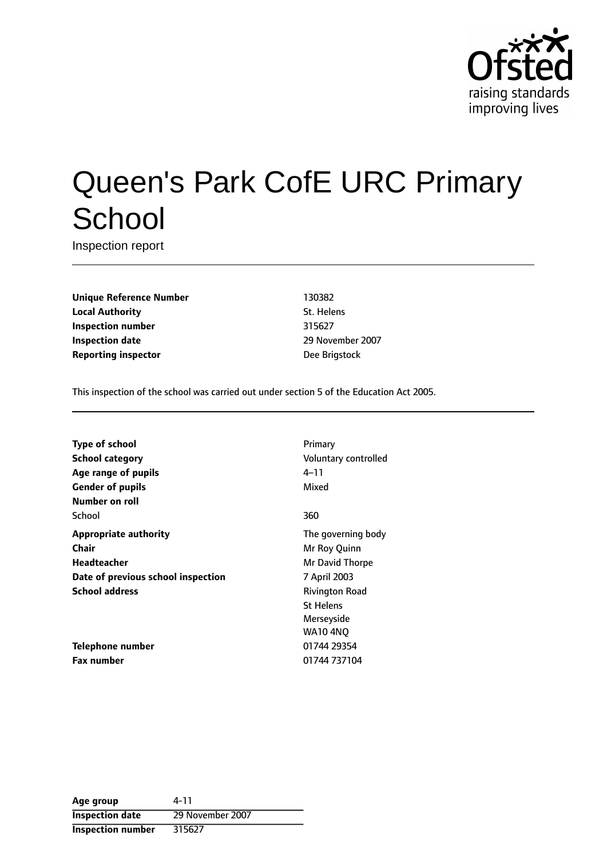

# Queen's Park CofE URC Primary **School**

Inspection report

**Unique Reference Number** 130382 **Local Authority** St. Helens **Inspection number** 315627 **Inspection date** 2007 **Reporting inspector Dee Brigstock** 

This inspection of the school was carried out under section 5 of the Education Act 2005.

**Type of school** Primary **School category CONSIDER SCHOOL CATEGORY** Voluntary controlled **Age** range of pupils **Age** *Pupils* 4-11 **Gender of pupils** Mixed **Number on roll** School 360 **Appropriate authority** The governing body **Chair** Mr Roy Quinn **Headteacher** Mr David Thorpe **Date of previous school inspection** 7 April 2003 **School address** Rivington Road **Telephone number** 01744 29354

**Fax number** 01744 737104

St Helens Merseyside WA10 4NQ

| Age group                | 4-11             |
|--------------------------|------------------|
| <b>Inspection date</b>   | 29 November 2007 |
| <b>Inspection number</b> | 315627           |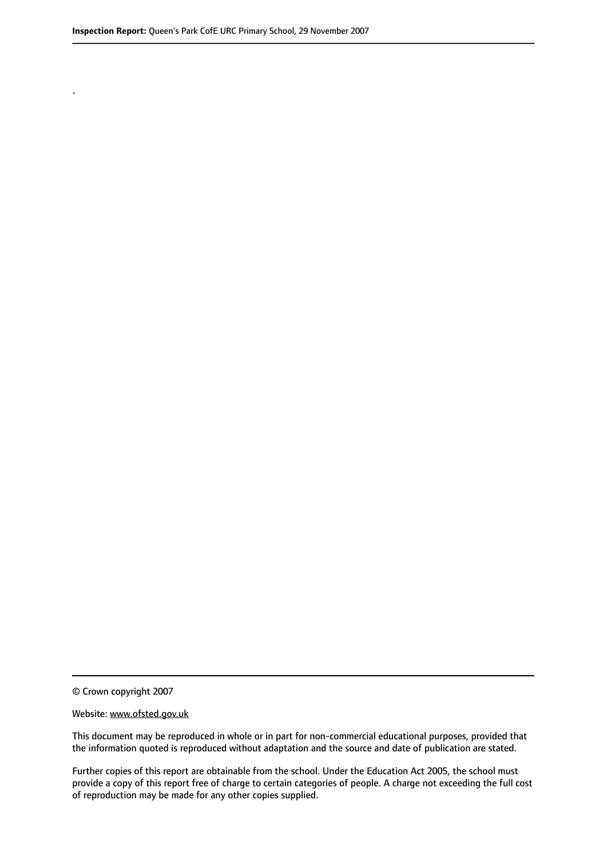.

© Crown copyright 2007

#### Website: www.ofsted.gov.uk

This document may be reproduced in whole or in part for non-commercial educational purposes, provided that the information quoted is reproduced without adaptation and the source and date of publication are stated.

Further copies of this report are obtainable from the school. Under the Education Act 2005, the school must provide a copy of this report free of charge to certain categories of people. A charge not exceeding the full cost of reproduction may be made for any other copies supplied.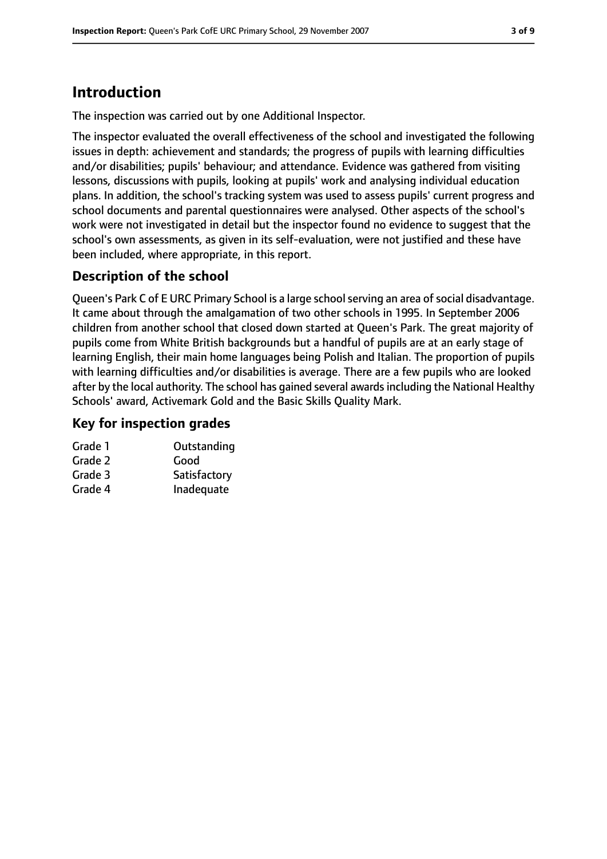# **Introduction**

The inspection was carried out by one Additional Inspector.

The inspector evaluated the overall effectiveness of the school and investigated the following issues in depth: achievement and standards; the progress of pupils with learning difficulties and/or disabilities; pupils' behaviour; and attendance. Evidence was gathered from visiting lessons, discussions with pupils, looking at pupils' work and analysing individual education plans. In addition, the school's tracking system was used to assess pupils' current progress and school documents and parental questionnaires were analysed. Other aspects of the school's work were not investigated in detail but the inspector found no evidence to suggest that the school's own assessments, as given in its self-evaluation, were not justified and these have been included, where appropriate, in this report.

### **Description of the school**

Queen's Park C of E URC Primary School is a large school serving an area of social disadvantage. It came about through the amalgamation of two other schools in 1995. In September 2006 children from another school that closed down started at Queen's Park. The great majority of pupils come from White British backgrounds but a handful of pupils are at an early stage of learning English, their main home languages being Polish and Italian. The proportion of pupils with learning difficulties and/or disabilities is average. There are a few pupils who are looked after by the local authority. The school has gained several awardsincluding the National Healthy Schools' award, Activemark Gold and the Basic Skills Quality Mark.

#### **Key for inspection grades**

| Grade 1 | Outstanding  |
|---------|--------------|
| Grade 2 | Good         |
| Grade 3 | Satisfactory |
| Grade 4 | Inadequate   |
|         |              |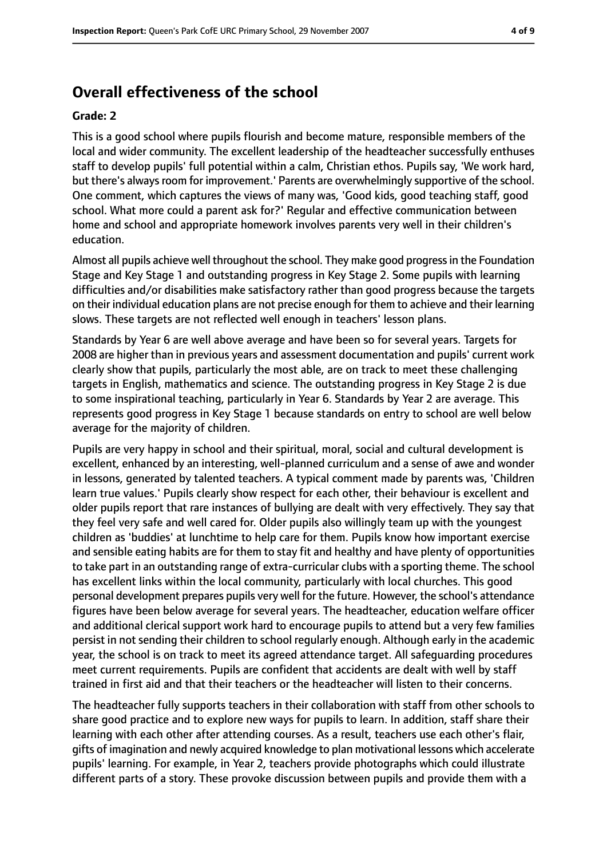### **Overall effectiveness of the school**

#### **Grade: 2**

This is a good school where pupils flourish and become mature, responsible members of the local and wider community. The excellent leadership of the headteacher successfully enthuses staff to develop pupils' full potential within a calm, Christian ethos. Pupils say, 'We work hard, but there's always room for improvement.' Parents are overwhelmingly supportive of the school. One comment, which captures the views of many was, 'Good kids, good teaching staff, good school. What more could a parent ask for?' Regular and effective communication between home and school and appropriate homework involves parents very well in their children's education.

Almost all pupils achieve well throughout the school. They make good progressin the Foundation Stage and Key Stage 1 and outstanding progress in Key Stage 2. Some pupils with learning difficulties and/or disabilities make satisfactory rather than good progress because the targets on their individual education plans are not precise enough for them to achieve and their learning slows. These targets are not reflected well enough in teachers' lesson plans.

Standards by Year 6 are well above average and have been so for several years. Targets for 2008 are higher than in previous years and assessment documentation and pupils' current work clearly show that pupils, particularly the most able, are on track to meet these challenging targets in English, mathematics and science. The outstanding progress in Key Stage 2 is due to some inspirational teaching, particularly in Year 6. Standards by Year 2 are average. This represents good progress in Key Stage 1 because standards on entry to school are well below average for the majority of children.

Pupils are very happy in school and their spiritual, moral, social and cultural development is excellent, enhanced by an interesting, well-planned curriculum and a sense of awe and wonder in lessons, generated by talented teachers. A typical comment made by parents was, 'Children learn true values.' Pupils clearly show respect for each other, their behaviour is excellent and older pupils report that rare instances of bullying are dealt with very effectively. They say that they feel very safe and well cared for. Older pupils also willingly team up with the youngest children as 'buddies' at lunchtime to help care for them. Pupils know how important exercise and sensible eating habits are for them to stay fit and healthy and have plenty of opportunities to take part in an outstanding range of extra-curricular clubs with a sporting theme. The school has excellent links within the local community, particularly with local churches. This good personal development prepares pupils very well for the future. However, the school's attendance figures have been below average for several years. The headteacher, education welfare officer and additional clerical support work hard to encourage pupils to attend but a very few families persist in not sending their children to school regularly enough. Although early in the academic year, the school is on track to meet its agreed attendance target. All safeguarding procedures meet current requirements. Pupils are confident that accidents are dealt with well by staff trained in first aid and that their teachers or the headteacher will listen to their concerns.

The headteacher fully supports teachers in their collaboration with staff from other schools to share good practice and to explore new ways for pupils to learn. In addition, staff share their learning with each other after attending courses. As a result, teachers use each other's flair, gifts of imagination and newly acquired knowledge to plan motivational lessons which accelerate pupils' learning. For example, in Year 2, teachers provide photographs which could illustrate different parts of a story. These provoke discussion between pupils and provide them with a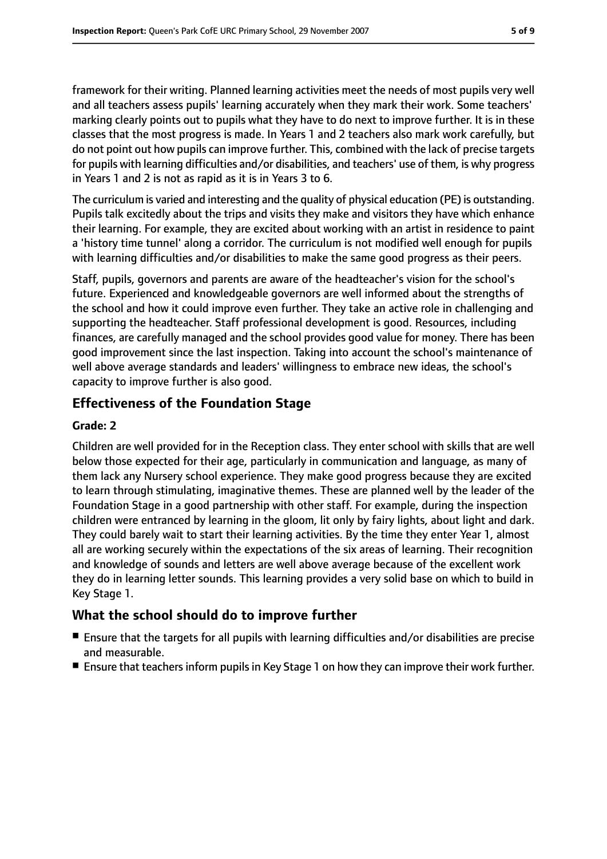framework for their writing. Planned learning activities meet the needs of most pupils very well and all teachers assess pupils' learning accurately when they mark their work. Some teachers' marking clearly points out to pupils what they have to do next to improve further. It is in these classes that the most progress is made. In Years 1 and 2 teachers also mark work carefully, but do not point out how pupils can improve further. This, combined with the lack of precise targets for pupils with learning difficulties and/or disabilities, and teachers' use of them, is why progress in Years 1 and 2 is not as rapid as it is in Years 3 to 6.

The curriculum is varied and interesting and the quality of physical education (PE) is outstanding. Pupils talk excitedly about the trips and visits they make and visitors they have which enhance their learning. For example, they are excited about working with an artist in residence to paint a 'history time tunnel' along a corridor. The curriculum is not modified well enough for pupils with learning difficulties and/or disabilities to make the same good progress as their peers.

Staff, pupils, governors and parents are aware of the headteacher's vision for the school's future. Experienced and knowledgeable governors are well informed about the strengths of the school and how it could improve even further. They take an active role in challenging and supporting the headteacher. Staff professional development is good. Resources, including finances, are carefully managed and the school provides good value for money. There has been good improvement since the last inspection. Taking into account the school's maintenance of well above average standards and leaders' willingness to embrace new ideas, the school's capacity to improve further is also good.

#### **Effectiveness of the Foundation Stage**

#### **Grade: 2**

Children are well provided for in the Reception class. They enter school with skills that are well below those expected for their age, particularly in communication and language, as many of them lack any Nursery school experience. They make good progress because they are excited to learn through stimulating, imaginative themes. These are planned well by the leader of the Foundation Stage in a good partnership with other staff. For example, during the inspection children were entranced by learning in the gloom, lit only by fairy lights, about light and dark. They could barely wait to start their learning activities. By the time they enter Year 1, almost all are working securely within the expectations of the six areas of learning. Their recognition and knowledge of sounds and letters are well above average because of the excellent work they do in learning letter sounds. This learning provides a very solid base on which to build in Key Stage 1.

#### **What the school should do to improve further**

- Ensure that the targets for all pupils with learning difficulties and/or disabilities are precise and measurable.
- Ensure that teachers inform pupils in Key Stage 1 on how they can improve their work further.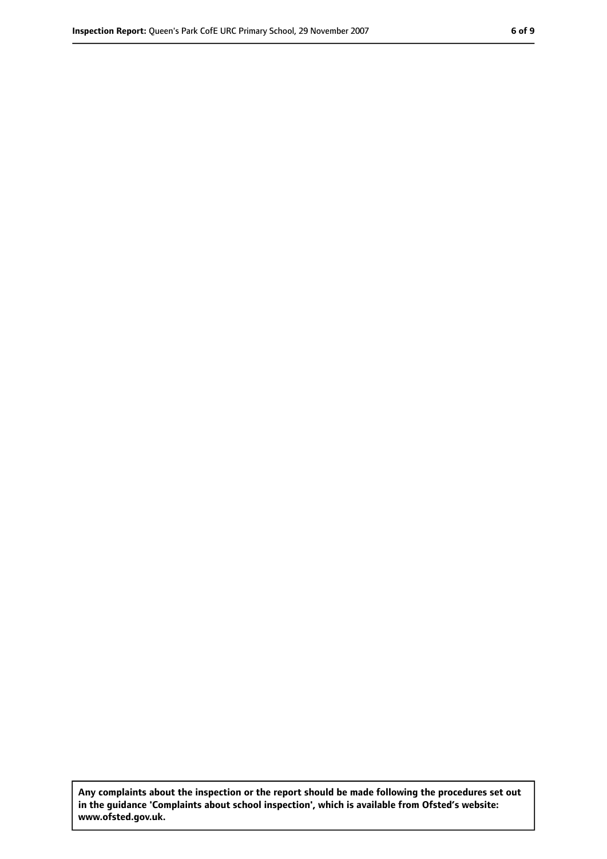**Any complaints about the inspection or the report should be made following the procedures set out in the guidance 'Complaints about school inspection', which is available from Ofsted's website: www.ofsted.gov.uk.**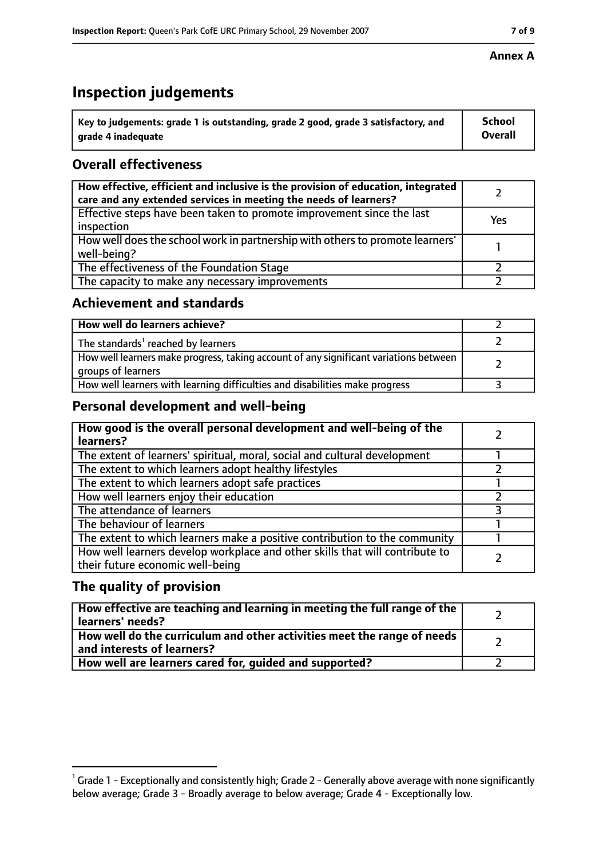## **Inspection judgements**

| $^{\backprime}$ Key to judgements: grade 1 is outstanding, grade 2 good, grade 3 satisfactory, and | <b>School</b>  |
|----------------------------------------------------------------------------------------------------|----------------|
| arade 4 inadeguate                                                                                 | <b>Overall</b> |

## **Overall effectiveness**

| How effective, efficient and inclusive is the provision of education, integrated<br>care and any extended services in meeting the needs of learners? |     |
|------------------------------------------------------------------------------------------------------------------------------------------------------|-----|
| Effective steps have been taken to promote improvement since the last<br>inspection                                                                  | Yes |
| How well does the school work in partnership with others to promote learners'<br>well-being?                                                         |     |
| The effectiveness of the Foundation Stage                                                                                                            |     |
| The capacity to make any necessary improvements                                                                                                      |     |

#### **Achievement and standards**

| How well do learners achieve?                                                                               |  |
|-------------------------------------------------------------------------------------------------------------|--|
| The standards <sup>1</sup> reached by learners                                                              |  |
| How well learners make progress, taking account of any significant variations between<br>groups of learners |  |
| How well learners with learning difficulties and disabilities make progress                                 |  |

#### **Personal development and well-being**

| How good is the overall personal development and well-being of the<br>learners?                                  |  |
|------------------------------------------------------------------------------------------------------------------|--|
| The extent of learners' spiritual, moral, social and cultural development                                        |  |
| The extent to which learners adopt healthy lifestyles                                                            |  |
| The extent to which learners adopt safe practices                                                                |  |
| How well learners enjoy their education                                                                          |  |
| The attendance of learners                                                                                       |  |
| The behaviour of learners                                                                                        |  |
| The extent to which learners make a positive contribution to the community                                       |  |
| How well learners develop workplace and other skills that will contribute to<br>their future economic well-being |  |

#### **The quality of provision**

| How effective are teaching and learning in meeting the full range of the<br>learners' needs?          |  |
|-------------------------------------------------------------------------------------------------------|--|
| How well do the curriculum and other activities meet the range of needs<br>and interests of learners? |  |
| How well are learners cared for, guided and supported?                                                |  |

#### **Annex A**

 $^1$  Grade 1 - Exceptionally and consistently high; Grade 2 - Generally above average with none significantly below average; Grade 3 - Broadly average to below average; Grade 4 - Exceptionally low.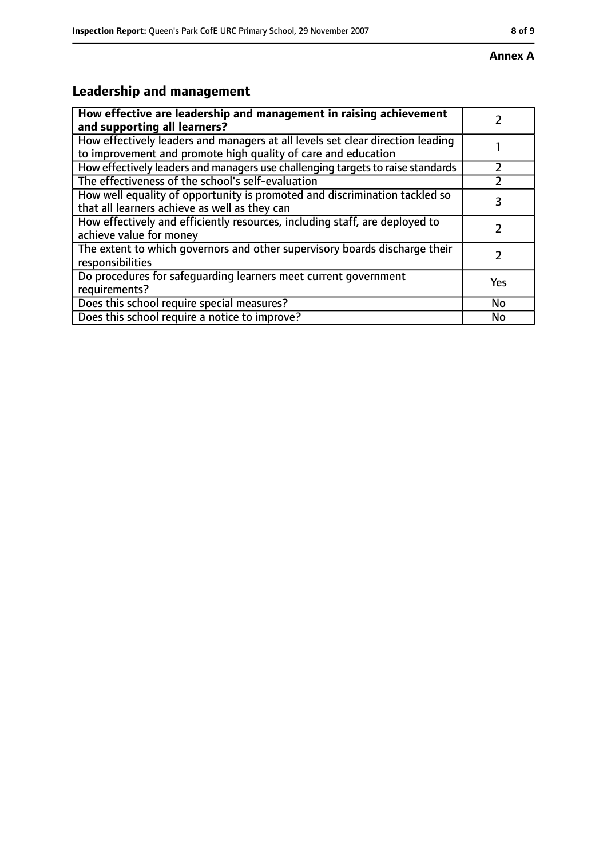# **Leadership and management**

| How effective are leadership and management in raising achievement              |     |
|---------------------------------------------------------------------------------|-----|
| and supporting all learners?                                                    |     |
| How effectively leaders and managers at all levels set clear direction leading  |     |
| to improvement and promote high quality of care and education                   |     |
| How effectively leaders and managers use challenging targets to raise standards |     |
| The effectiveness of the school's self-evaluation                               |     |
| How well equality of opportunity is promoted and discrimination tackled so      | 3   |
| that all learners achieve as well as they can                                   |     |
| How effectively and efficiently resources, including staff, are deployed to     | 7   |
| achieve value for money                                                         |     |
| The extent to which governors and other supervisory boards discharge their      |     |
| responsibilities                                                                |     |
| Do procedures for safequarding learners meet current government                 | Yes |
| requirements?                                                                   |     |
| Does this school require special measures?                                      | No  |
| Does this school require a notice to improve?                                   | No  |